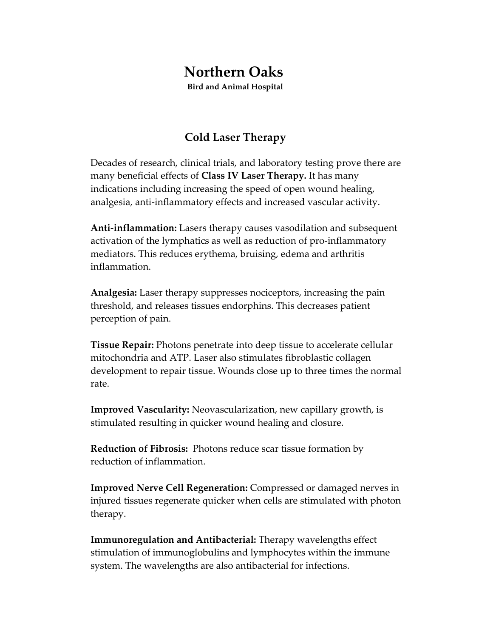## **Northern Oaks**

**Bird and Animal Hospital**

## **Cold Laser Therapy**

Decades of research, clinical trials, and laboratory testing prove there are many beneficial effects of **Class IV Laser Therapy.** It has many indications including increasing the speed of open wound healing, analgesia, anti‐inflammatory effects and increased vascular activity.

**Anti‐inflammation:** Lasers therapy causes vasodilation and subsequent activation of the lymphatics as well as reduction of pro‐inflammatory mediators. This reduces erythema, bruising, edema and arthritis inflammation.

**Analgesia:** Laser therapy suppresses nociceptors, increasing the pain threshold, and releases tissues endorphins. This decreases patient perception of pain.

**Tissue Repair:** Photons penetrate into deep tissue to accelerate cellular mitochondria and ATP. Laser also stimulates fibroblastic collagen development to repair tissue. Wounds close up to three times the normal rate.

**Improved Vascularity:** Neovascularization, new capillary growth, is stimulated resulting in quicker wound healing and closure.

**Reduction of Fibrosis:** Photons reduce scar tissue formation by reduction of inflammation.

**Improved Nerve Cell Regeneration:** Compressed or damaged nerves in injured tissues regenerate quicker when cells are stimulated with photon therapy.

**Immunoregulation and Antibacterial:** Therapy wavelengths effect stimulation of immunoglobulins and lymphocytes within the immune system. The wavelengths are also antibacterial for infections.